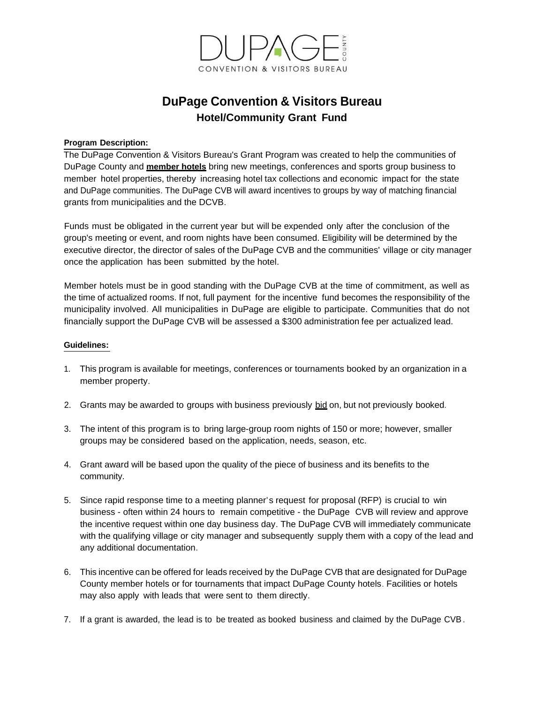

# **DuPage Convention & Visitors Bureau Hotel/Community Grant Fund**

## **Program Description:**

The DuPage Convention & Visitors Bureau's Grant Program was created to help the communities of DuPage County and **member hotels** bring new meetings, conferences and sports group business to member hotel properties, thereby increasing hotel tax collections and economic impact for the state and DuPage communities. The DuPage CVB will award incentives to groups by way of matching financial grants from municipalities and the DCVB.

Funds must be obligated in the current year but will be expended only after the conclusion of the group's meeting or event, and room nights have been consumed. Eligibility will be determined by the executive director, the director of sales of the DuPage CVB and the communities' village or city manager once the application has been submitted by the hotel.

Member hotels must be in good standing with the DuPage CVB at the time of commitment, as well as the time of actualized rooms. If not, full payment for the incentive fund becomes the responsibility of the municipality involved. All municipalities in DuPage are eligible to participate. Communities that do not financially support the DuPage CVB will be assessed a \$300 administration fee per actualized lead.

## **Guidelines:**

- 1. This program is available for meetings, conferences or tournaments booked by an organization in a member property.
- 2. Grants may be awarded to groups with business previously bid on, but not previously booked.
- 3. The intent of this program is to bring large-group room nights of 150 or more; however, smaller groups may be considered based on the application, needs, season, etc.
- 4. Grant award will be based upon the quality of the piece of business and its benefits to the community.
- 5. Since rapid response time to a meeting planner's request for proposal (RFP) is crucial to win business - often within 24 hours to remain competitive - the DuPage CVB will review and approve the incentive request within one day business day. The DuPage CVB will immediately communicate with the qualifying village or city manager and subsequently supply them with a copy of the lead and any additional documentation.
- 6. This incentive can be offered for leads received by the DuPage CVB that are designated for DuPage County member hotels or for tournaments that impact DuPage County hotels. Facilities or hotels may also apply with leads that were sent to them directly.
- 7. If a grant is awarded, the lead is to be treated as booked business and claimed by the DuPage CVB.